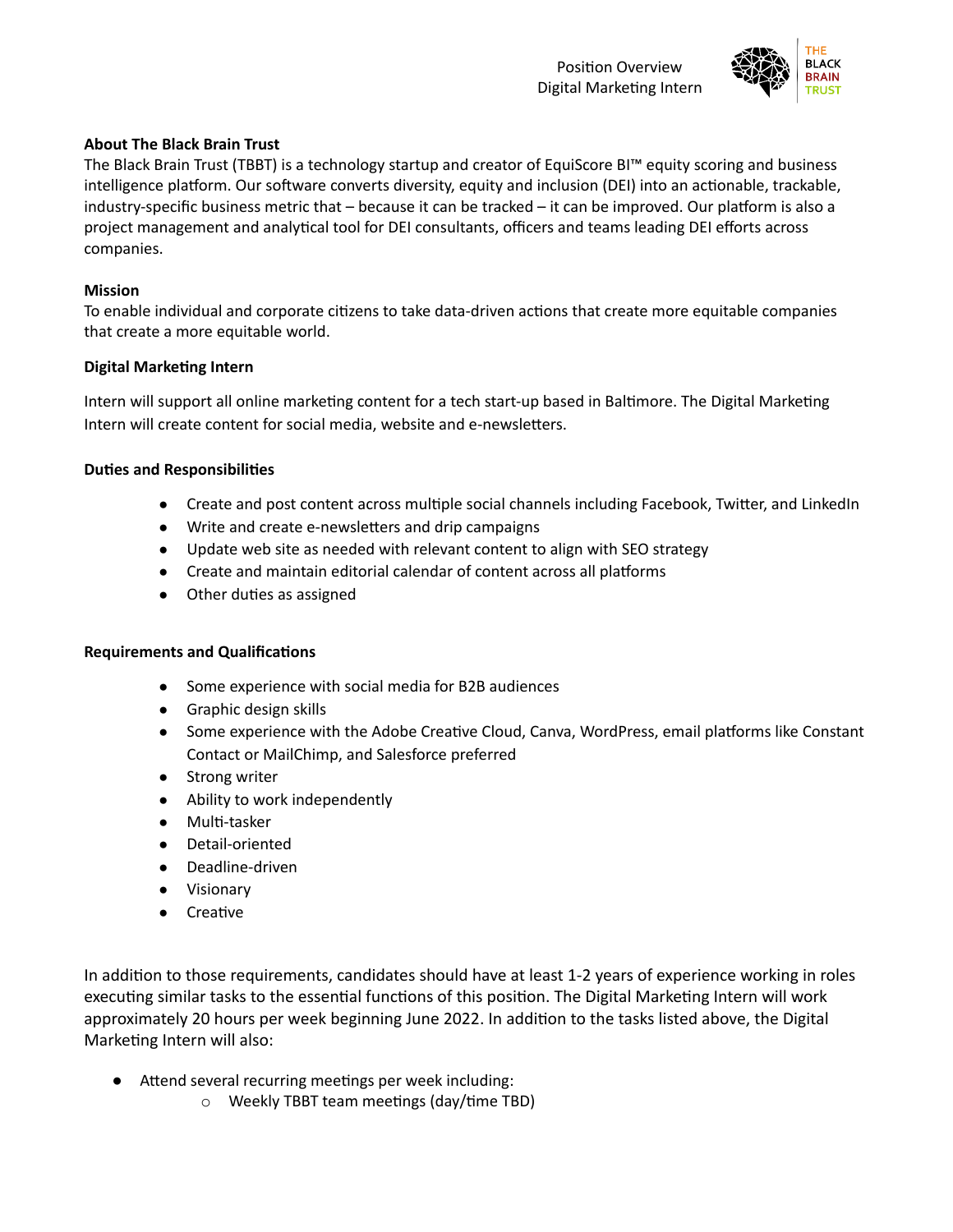

## **About The Black Brain Trust**

The Black Brain Trust (TBBT) is a technology startup and creator of EquiScore BI™ equity scoring and business intelligence platform. Our software converts diversity, equity and inclusion (DEI) into an actionable, trackable, industry-specific business metric that  $-$  because it can be tracked  $-$  it can be improved. Our platform is also a project management and analytical tool for DEI consultants, officers and teams leading DEI efforts across companies.

### **Mission**

To enable individual and corporate citizens to take data-driven actions that create more equitable companies that create a more equitable world.

### **Digital Marketing Intern**

Intern will support all online marketing content for a tech start-up based in Baltimore. The Digital Marketing Intern will create content for social media, website and e-newsletters.

### **Duties and Responsibilities**

- Create and post content across multiple social channels including Facebook, Twitter, and LinkedIn
- Write and create e-newsletters and drip campaigns
- Update web site as needed with relevant content to align with SEO strategy
- Create and maintain editorial calendar of content across all platforms
- Other duties as assigned

#### **Requirements and Qualifications**

- Some experience with social media for B2B audiences
- Graphic design skills
- Some experience with the Adobe Creative Cloud, Canva, WordPress, email platforms like Constant Contact or MailChimp, and Salesforce preferred
- Strong writer
- Ability to work independently
- Multi-tasker
- Detail-oriented
- Deadline-driven
- Visionary
- Creative

In addition to those requirements, candidates should have at least 1-2 years of experience working in roles executing similar tasks to the essential functions of this position. The Digital Marketing Intern will work approximately 20 hours per week beginning June 2022. In addition to the tasks listed above, the Digital Marketing Intern will also:

- Attend several recurring meetings per week including:
	- $\circ$  Weekly TBBT team meetings (day/time TBD)